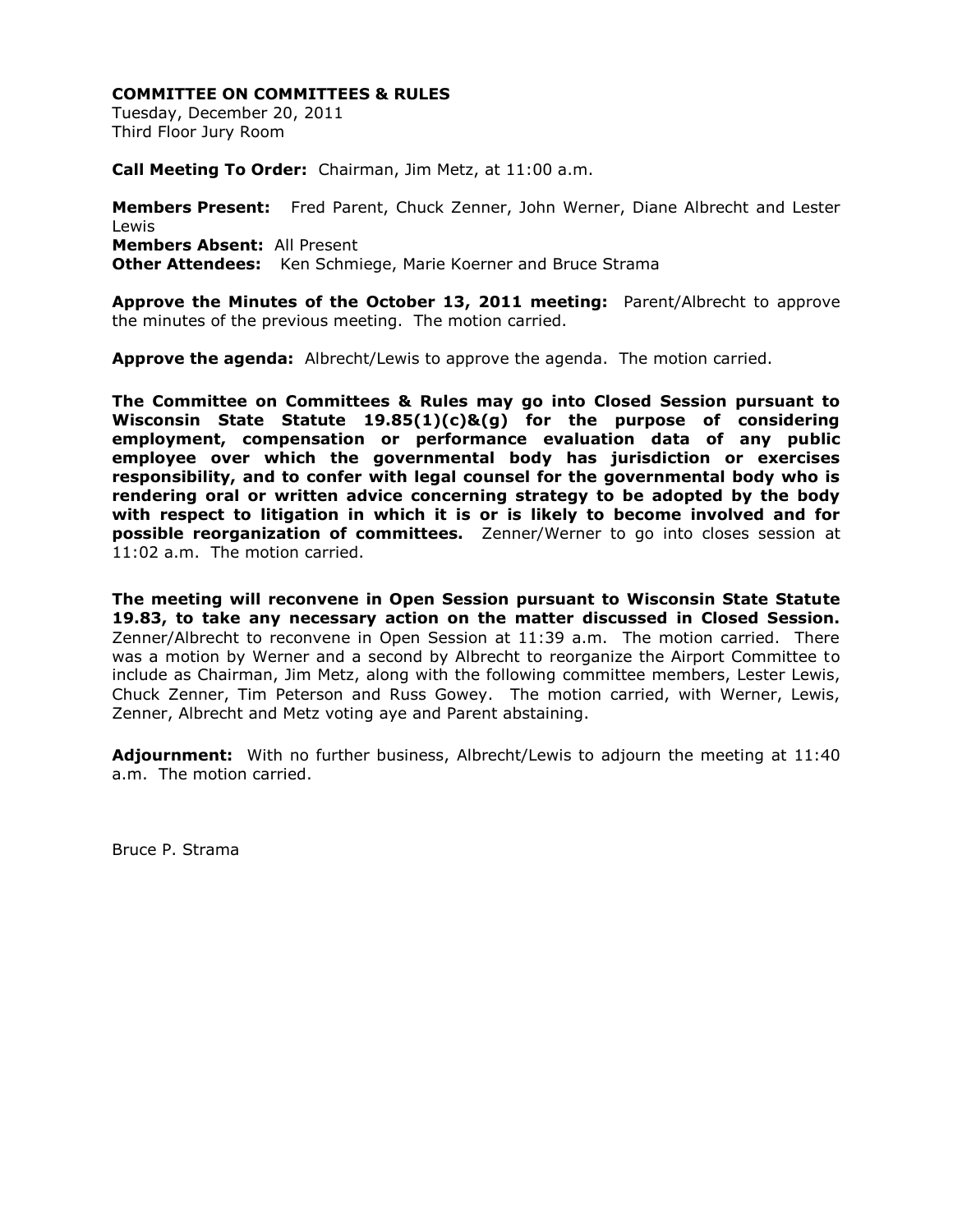Tuesday, December 20, 2011 Third Floor Jury Room

**Call Meeting To Order:** Chairman, Jim Metz, at 11:00 a.m.

**Members Present:** Fred Parent, Chuck Zenner, John Werner, Diane Albrecht and Lester Lewis **Members Absent:** All Present **Other Attendees:** Ken Schmiege, Marie Koerner and Bruce Strama

**Approve the Minutes of the October 13, 2011 meeting:** Parent/Albrecht to approve the minutes of the previous meeting. The motion carried.

**Approve the agenda:** Albrecht/Lewis to approve the agenda. The motion carried.

**The Committee on Committees & Rules may go into Closed Session pursuant to Wisconsin State Statute 19.85(1)(c)&(g) for the purpose of considering employment, compensation or performance evaluation data of any public employee over which the governmental body has jurisdiction or exercises responsibility, and to confer with legal counsel for the governmental body who is rendering oral or written advice concerning strategy to be adopted by the body with respect to litigation in which it is or is likely to become involved and for possible reorganization of committees.** Zenner/Werner to go into closes session at 11:02 a.m. The motion carried.

**The meeting will reconvene in Open Session pursuant to Wisconsin State Statute 19.83, to take any necessary action on the matter discussed in Closed Session.**  Zenner/Albrecht to reconvene in Open Session at 11:39 a.m. The motion carried. There was a motion by Werner and a second by Albrecht to reorganize the Airport Committee to include as Chairman, Jim Metz, along with the following committee members, Lester Lewis, Chuck Zenner, Tim Peterson and Russ Gowey. The motion carried, with Werner, Lewis, Zenner, Albrecht and Metz voting aye and Parent abstaining.

**Adjournment:** With no further business, Albrecht/Lewis to adjourn the meeting at 11:40 a.m. The motion carried.

Bruce P. Strama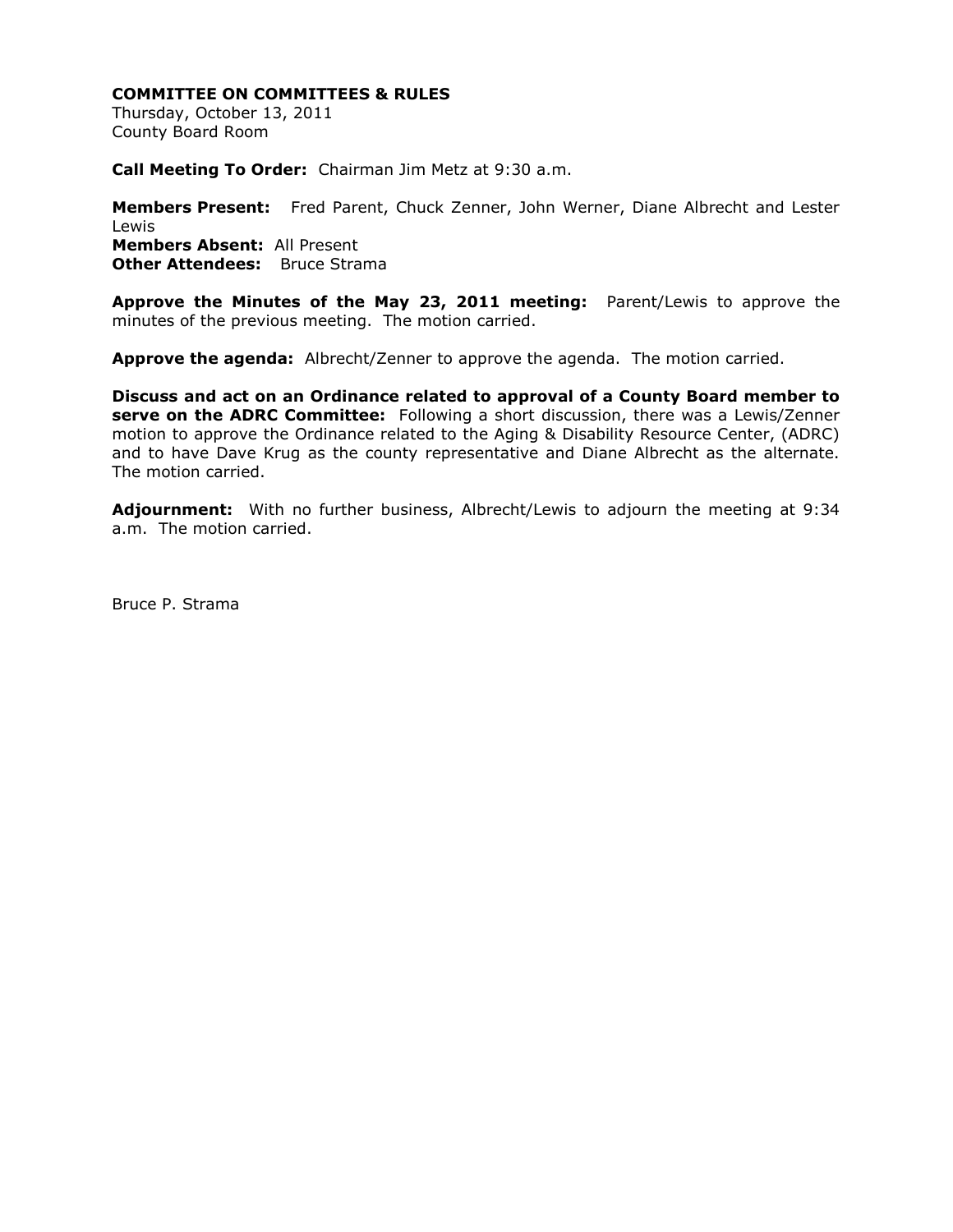Thursday, October 13, 2011 County Board Room

**Call Meeting To Order:** Chairman Jim Metz at 9:30 a.m.

**Members Present:** Fred Parent, Chuck Zenner, John Werner, Diane Albrecht and Lester Lewis **Members Absent:** All Present **Other Attendees:** Bruce Strama

**Approve the Minutes of the May 23, 2011 meeting:** Parent/Lewis to approve the minutes of the previous meeting. The motion carried.

**Approve the agenda:** Albrecht/Zenner to approve the agenda. The motion carried.

**Discuss and act on an Ordinance related to approval of a County Board member to serve on the ADRC Committee:** Following a short discussion, there was a Lewis/Zenner motion to approve the Ordinance related to the Aging & Disability Resource Center, (ADRC) and to have Dave Krug as the county representative and Diane Albrecht as the alternate. The motion carried.

**Adjournment:** With no further business, Albrecht/Lewis to adjourn the meeting at 9:34 a.m. The motion carried.

Bruce P. Strama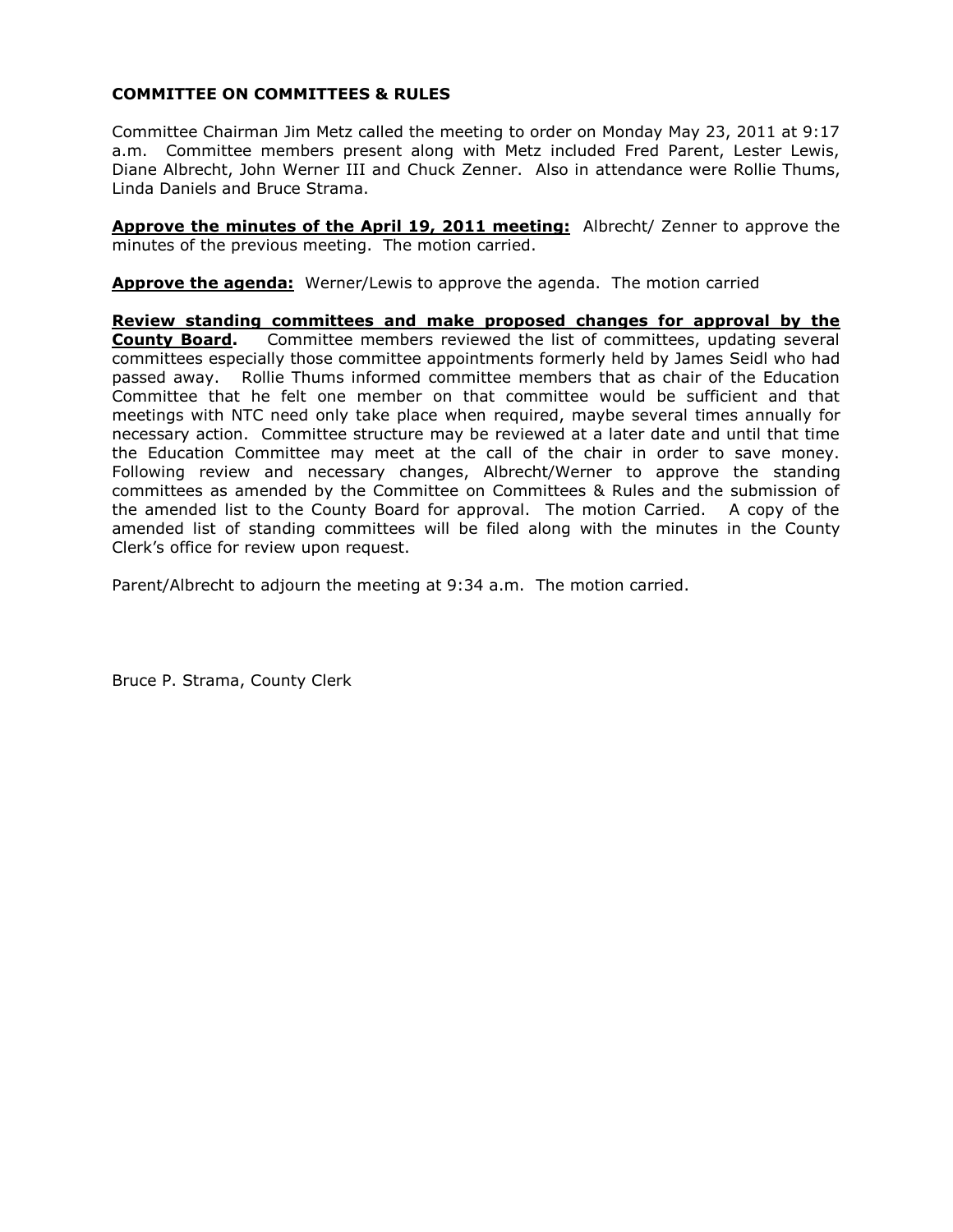Committee Chairman Jim Metz called the meeting to order on Monday May 23, 2011 at 9:17 a.m. Committee members present along with Metz included Fred Parent, Lester Lewis, Diane Albrecht, John Werner III and Chuck Zenner. Also in attendance were Rollie Thums, Linda Daniels and Bruce Strama.

**Approve the minutes of the April 19, 2011 meeting:** Albrecht/ Zenner to approve the minutes of the previous meeting. The motion carried.

**Approve the agenda:** Werner/Lewis to approve the agenda. The motion carried

**Review standing committees and make proposed changes for approval by the County Board.** Committee members reviewed the list of committees, updating several committees especially those committee appointments formerly held by James Seidl who had passed away. Rollie Thums informed committee members that as chair of the Education Committee that he felt one member on that committee would be sufficient and that meetings with NTC need only take place when required, maybe several times annually for necessary action. Committee structure may be reviewed at a later date and until that time the Education Committee may meet at the call of the chair in order to save money. Following review and necessary changes, Albrecht/Werner to approve the standing committees as amended by the Committee on Committees & Rules and the submission of the amended list to the County Board for approval. The motion Carried. A copy of the amended list of standing committees will be filed along with the minutes in the County Clerk's office for review upon request.

Parent/Albrecht to adjourn the meeting at 9:34 a.m. The motion carried.

Bruce P. Strama, County Clerk